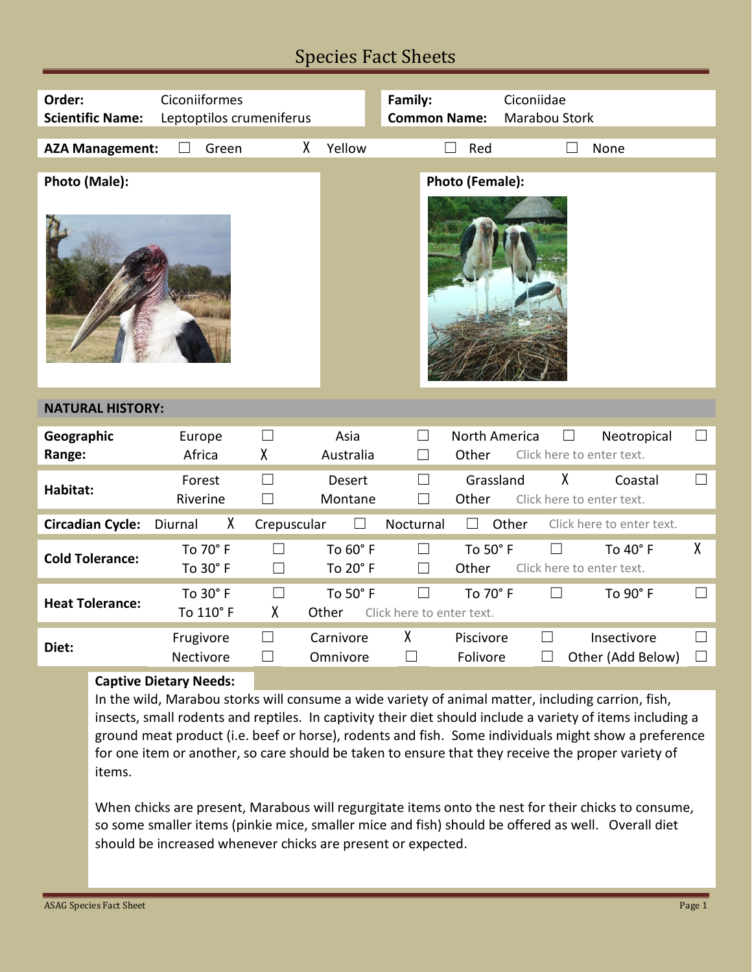## Species Fact Sheets

| Order:<br><b>Scientific Name:</b> | Ciconiiformes<br>Leptoptilos crumeniferus |                  |                          | Family:<br><b>Common Name:</b>      |                        | Ciconiidae<br>Marabou Stork |                                          |                  |
|-----------------------------------|-------------------------------------------|------------------|--------------------------|-------------------------------------|------------------------|-----------------------------|------------------------------------------|------------------|
| <b>AZA Management:</b>            | Green                                     | X                | Yellow                   |                                     | Red                    |                             | None                                     |                  |
| Photo (Male):                     |                                           |                  |                          |                                     | Photo (Female):        |                             |                                          |                  |
|                                   |                                           |                  |                          |                                     |                        |                             |                                          |                  |
| <b>NATURAL HISTORY:</b>           |                                           |                  |                          |                                     |                        |                             |                                          |                  |
| Geographic<br>Range:              | Europe<br>Africa                          | $\Box$<br>X      | Asia<br>Australia        | H<br>Ш                              | North America<br>Other | $\Box$                      | Neotropical<br>Click here to enter text. | $\Box$           |
| Habitat:                          | Forest<br>Riverine                        | $\Box$<br>$\Box$ | <b>Desert</b><br>Montane | $\Box$<br>$\perp$                   | Grassland<br>Other     | χ                           | Coastal<br>Click here to enter text.     | $\Box$           |
| <b>Circadian Cycle:</b>           | χ<br>Diurnal                              | Crepuscular      | $\Box$                   | Nocturnal                           | $\perp$                | Other                       | Click here to enter text.                |                  |
| <b>Cold Tolerance:</b>            | To 70° F<br>To 30° F                      | $\perp$          | To 60° F<br>To 20° F     | $\Box$<br>$\Box$                    | To 50° F<br>Other      | $\perp$                     | To 40° F<br>Click here to enter text.    | $\mathsf{X}$     |
| <b>Heat Tolerance:</b>            | To 30° F<br>To 110° F                     | $\Box$<br>χ      | To 50° F<br>Other        | $\Box$<br>Click here to enter text. | To 70° F               | $\perp$                     | To 90° F                                 | $\Box$           |
| Diet:                             | Frugivore<br>Nectivore                    | $\Box$<br>$\Box$ | Carnivore<br>Omnivore    | X<br>$\vert \ \ \vert$              | Piscivore<br>Folivore  | $\vert \ \ \vert$           | Insectivore<br>Other (Add Below)         | $\Box$<br>$\Box$ |
|                                   | <b>Captive Dietary Needs:</b>             |                  |                          |                                     |                        |                             |                                          |                  |

In the wild, Marabou storks will consume a wide variety of animal matter, including carrion, fish, insects, small rodents and reptiles. In captivity their diet should include a variety of items including a ground meat product (i.e. beef or horse), rodents and fish. Some individuals might show a preference for one item or another, so care should be taken to ensure that they receive the proper variety of items.

When chicks are present, Marabous will regurgitate items onto the nest for their chicks to consume, so some smaller items (pinkie mice, smaller mice and fish) should be offered as well. Overall diet should be increased whenever chicks are present or expected.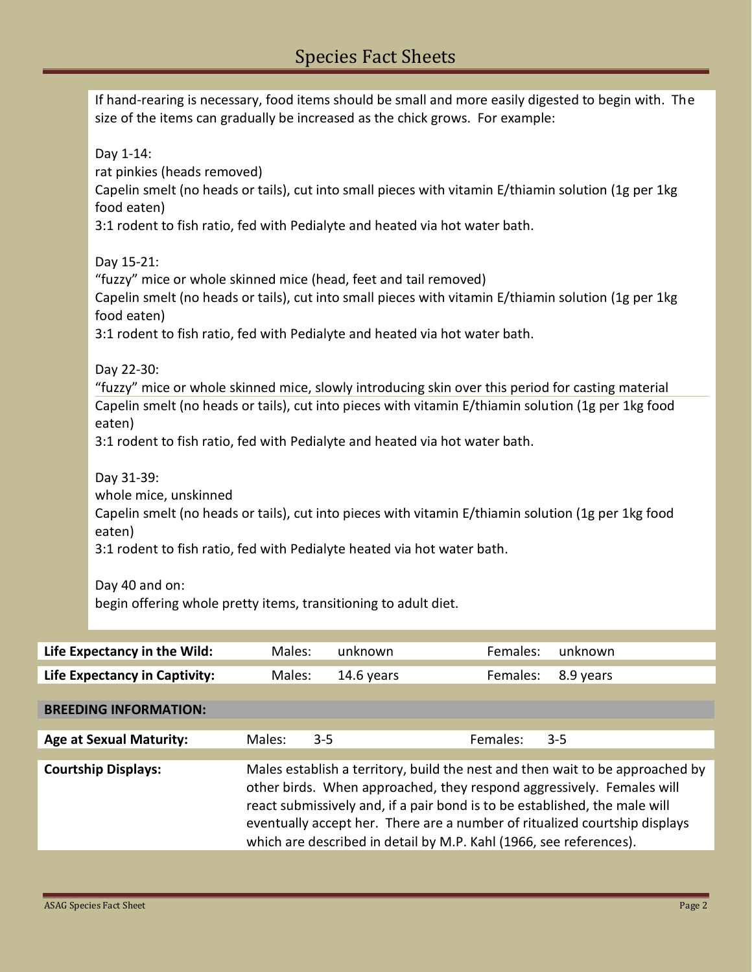| If hand-rearing is necessary, food items should be small and more easily digested to begin with. The<br>size of the items can gradually be increased as the chick grows. For example:                                                                                                                           |        |            |          |           |  |
|-----------------------------------------------------------------------------------------------------------------------------------------------------------------------------------------------------------------------------------------------------------------------------------------------------------------|--------|------------|----------|-----------|--|
| Day 1-14:<br>rat pinkies (heads removed)<br>Capelin smelt (no heads or tails), cut into small pieces with vitamin E/thiamin solution (1g per 1kg<br>food eaten)<br>3:1 rodent to fish ratio, fed with Pedialyte and heated via hot water bath.                                                                  |        |            |          |           |  |
| Day 15-21:<br>"fuzzy" mice or whole skinned mice (head, feet and tail removed)<br>Capelin smelt (no heads or tails), cut into small pieces with vitamin E/thiamin solution (1g per 1kg<br>food eaten)<br>3:1 rodent to fish ratio, fed with Pedialyte and heated via hot water bath.                            |        |            |          |           |  |
| Day 22-30:<br>"fuzzy" mice or whole skinned mice, slowly introducing skin over this period for casting material<br>Capelin smelt (no heads or tails), cut into pieces with vitamin E/thiamin solution (1g per 1kg food<br>eaten)<br>3:1 rodent to fish ratio, fed with Pedialyte and heated via hot water bath. |        |            |          |           |  |
| Day 31-39:<br>whole mice, unskinned<br>Capelin smelt (no heads or tails), cut into pieces with vitamin E/thiamin solution (1g per 1kg food<br>eaten)<br>3:1 rodent to fish ratio, fed with Pedialyte heated via hot water bath.                                                                                 |        |            |          |           |  |
| Day 40 and on:<br>begin offering whole pretty items, transitioning to adult diet.                                                                                                                                                                                                                               |        |            |          |           |  |
| Life Expectancy in the Wild:                                                                                                                                                                                                                                                                                    | Males: | unknown    | Females: | unknown   |  |
| <b>Life Expectancy in Captivity:</b>                                                                                                                                                                                                                                                                            | Males: | 14.6 years | Females: | 8.9 years |  |
|                                                                                                                                                                                                                                                                                                                 |        |            |          |           |  |
| <b>BREEDING INFORMATION:</b>                                                                                                                                                                                                                                                                                    |        |            |          |           |  |

| <b>Age at Sexual Maturity:</b> | Males: | $3 - 5$                                                                                                                                                                                                                                                                                                 | Females: | $3 - 5$                                                                       |
|--------------------------------|--------|---------------------------------------------------------------------------------------------------------------------------------------------------------------------------------------------------------------------------------------------------------------------------------------------------------|----------|-------------------------------------------------------------------------------|
|                                |        |                                                                                                                                                                                                                                                                                                         |          |                                                                               |
| <b>Courtship Displays:</b>     |        | other birds. When approached, they respond aggressively. Females will<br>react submissively and, if a pair bond is to be established, the male will<br>eventually accept her. There are a number of ritualized courtship displays<br>which are described in detail by M.P. Kahl (1966, see references). |          | Males establish a territory, build the nest and then wait to be approached by |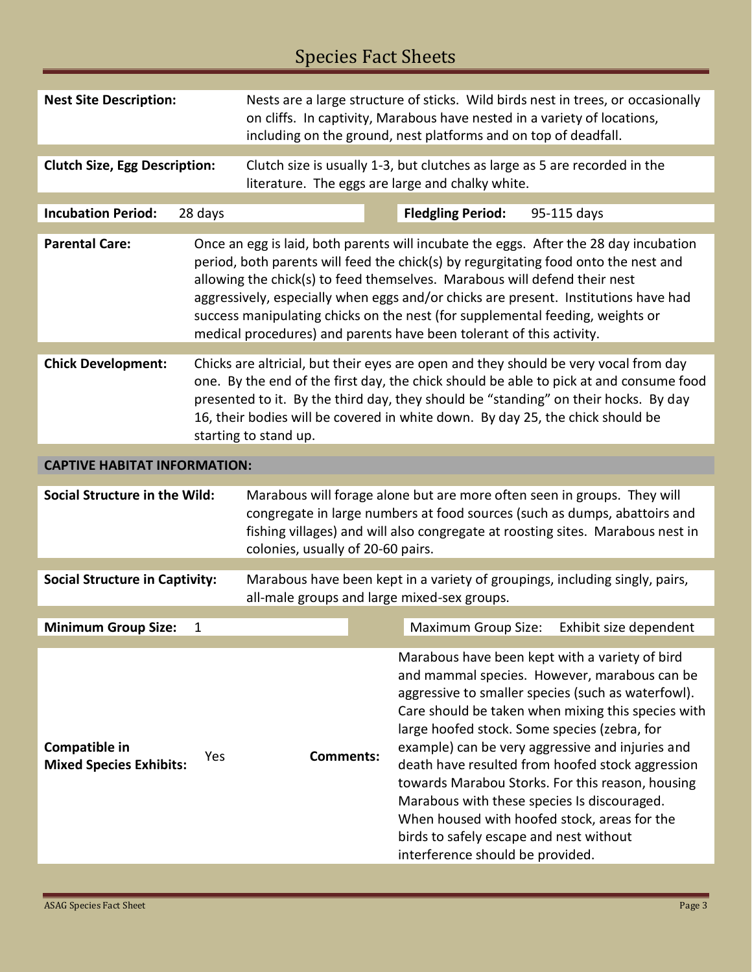# Species Fact Sheets

| <b>Nest Site Description:</b>                   |                                                                                                                                                                                                                                                                                                                                                                                  | Nests are a large structure of sticks. Wild birds nest in trees, or occasionally<br>on cliffs. In captivity, Marabous have nested in a variety of locations,<br>including on the ground, nest platforms and on top of deadfall.                                             |  |                                                                                                                                                   |                                                                                                                                                                                                                                                                                                                                                                                                                                                                                                                       |  |
|-------------------------------------------------|----------------------------------------------------------------------------------------------------------------------------------------------------------------------------------------------------------------------------------------------------------------------------------------------------------------------------------------------------------------------------------|-----------------------------------------------------------------------------------------------------------------------------------------------------------------------------------------------------------------------------------------------------------------------------|--|---------------------------------------------------------------------------------------------------------------------------------------------------|-----------------------------------------------------------------------------------------------------------------------------------------------------------------------------------------------------------------------------------------------------------------------------------------------------------------------------------------------------------------------------------------------------------------------------------------------------------------------------------------------------------------------|--|
| <b>Clutch Size, Egg Description:</b>            |                                                                                                                                                                                                                                                                                                                                                                                  | Clutch size is usually 1-3, but clutches as large as 5 are recorded in the<br>literature. The eggs are large and chalky white.                                                                                                                                              |  |                                                                                                                                                   |                                                                                                                                                                                                                                                                                                                                                                                                                                                                                                                       |  |
| <b>Incubation Period:</b>                       | 28 days                                                                                                                                                                                                                                                                                                                                                                          |                                                                                                                                                                                                                                                                             |  | <b>Fledgling Period:</b>                                                                                                                          | 95-115 days                                                                                                                                                                                                                                                                                                                                                                                                                                                                                                           |  |
| <b>Parental Care:</b>                           |                                                                                                                                                                                                                                                                                                                                                                                  |                                                                                                                                                                                                                                                                             |  | allowing the chick(s) to feed themselves. Marabous will defend their nest<br>medical procedures) and parents have been tolerant of this activity. | Once an egg is laid, both parents will incubate the eggs. After the 28 day incubation<br>period, both parents will feed the chick(s) by regurgitating food onto the nest and<br>aggressively, especially when eggs and/or chicks are present. Institutions have had<br>success manipulating chicks on the nest (for supplemental feeding, weights or                                                                                                                                                                  |  |
| <b>Chick Development:</b>                       | Chicks are altricial, but their eyes are open and they should be very vocal from day<br>one. By the end of the first day, the chick should be able to pick at and consume food<br>presented to it. By the third day, they should be "standing" on their hocks. By day<br>16, their bodies will be covered in white down. By day 25, the chick should be<br>starting to stand up. |                                                                                                                                                                                                                                                                             |  |                                                                                                                                                   |                                                                                                                                                                                                                                                                                                                                                                                                                                                                                                                       |  |
| <b>CAPTIVE HABITAT INFORMATION:</b>             |                                                                                                                                                                                                                                                                                                                                                                                  |                                                                                                                                                                                                                                                                             |  |                                                                                                                                                   |                                                                                                                                                                                                                                                                                                                                                                                                                                                                                                                       |  |
| Social Structure in the Wild:                   |                                                                                                                                                                                                                                                                                                                                                                                  | Marabous will forage alone but are more often seen in groups. They will<br>congregate in large numbers at food sources (such as dumps, abattoirs and<br>fishing villages) and will also congregate at roosting sites. Marabous nest in<br>colonies, usually of 20-60 pairs. |  |                                                                                                                                                   |                                                                                                                                                                                                                                                                                                                                                                                                                                                                                                                       |  |
| <b>Social Structure in Captivity:</b>           |                                                                                                                                                                                                                                                                                                                                                                                  | Marabous have been kept in a variety of groupings, including singly, pairs,<br>all-male groups and large mixed-sex groups.                                                                                                                                                  |  |                                                                                                                                                   |                                                                                                                                                                                                                                                                                                                                                                                                                                                                                                                       |  |
| <b>Minimum Group Size:</b>                      | 1                                                                                                                                                                                                                                                                                                                                                                                |                                                                                                                                                                                                                                                                             |  | <b>Maximum Group Size:</b>                                                                                                                        | Exhibit size dependent                                                                                                                                                                                                                                                                                                                                                                                                                                                                                                |  |
| Compatible in<br><b>Mixed Species Exhibits:</b> | Yes                                                                                                                                                                                                                                                                                                                                                                              | <b>Comments:</b>                                                                                                                                                                                                                                                            |  | birds to safely escape and nest without<br>interference should be provided.                                                                       | Marabous have been kept with a variety of bird<br>and mammal species. However, marabous can be<br>aggressive to smaller species (such as waterfowl).<br>Care should be taken when mixing this species with<br>large hoofed stock. Some species (zebra, for<br>example) can be very aggressive and injuries and<br>death have resulted from hoofed stock aggression<br>towards Marabou Storks. For this reason, housing<br>Marabous with these species Is discouraged.<br>When housed with hoofed stock, areas for the |  |

Е